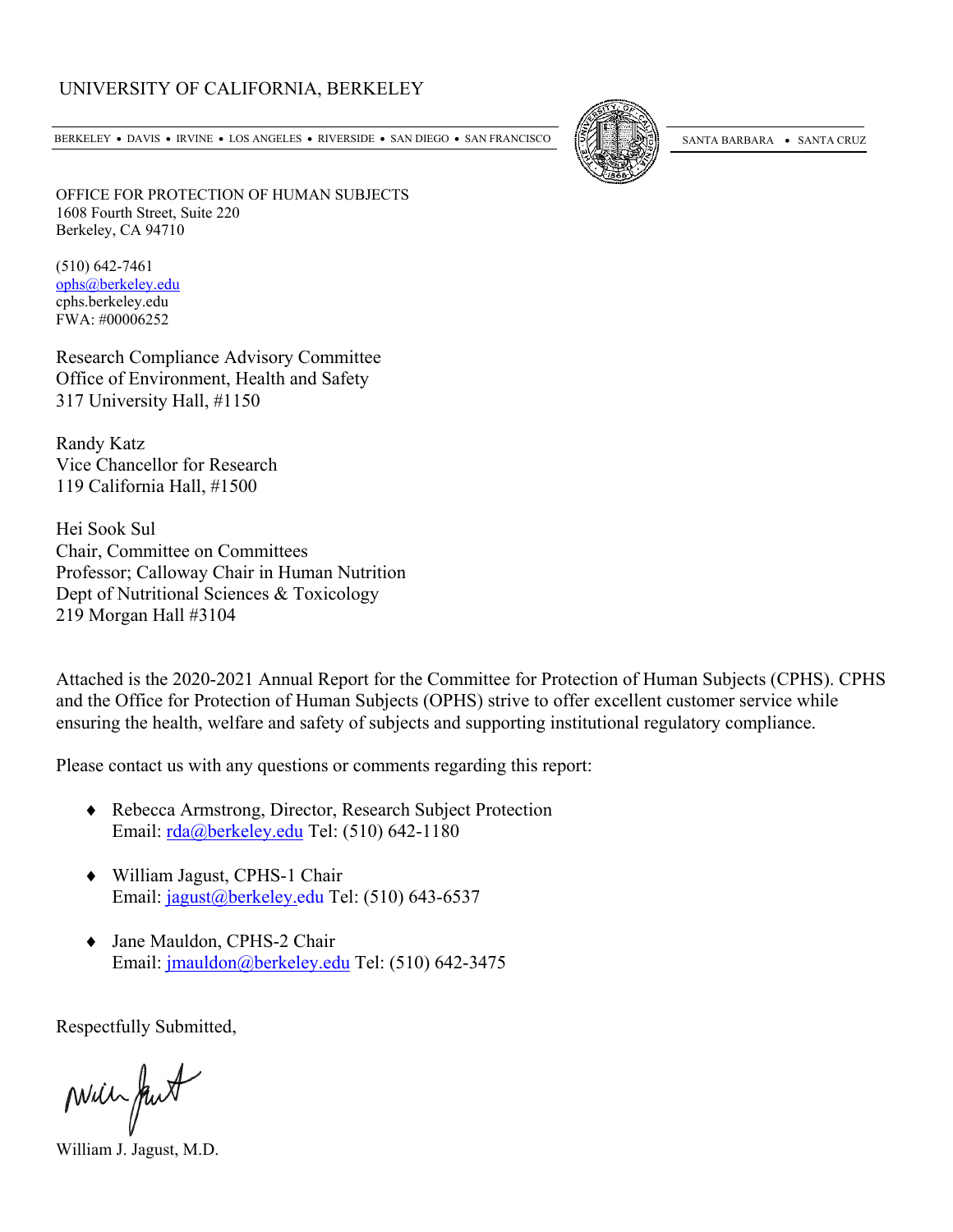### UNIVERSITY OF CALIFORNIA, BERKELEY

BERKELEY • DAVIS • IRVINE • LOS ANGELES • RIVERSIDE • SAN DIEGO • SAN FRANCISCO [57] SANTA BARBARA • SANTA CRUZ



OFFICE FOR PROTECTION OF HUMAN SUBJECTS 1608 Fourth Street, Suite 220 Berkeley, CA 94710

(510) 642-7461 [ophs@berkeley.edu](mailto:ophs@berkeley.edu) cphs.berkeley.edu FWA: #00006252

Research Compliance Advisory Committee Office of Environment, Health and Safety 317 University Hall, #1150

Randy Katz Vice Chancellor for Research 119 California Hall, #1500

Hei Sook Sul Chair, Committee on Committees Professor; Calloway Chair in Human Nutrition Dept of Nutritional Sciences & Toxicology 219 Morgan Hall #3104

Attached is the 2020-2021 Annual Report for the Committee for Protection of Human Subjects (CPHS). CPHS and the Office for Protection of Human Subjects (OPHS) strive to offer excellent customer service while ensuring the health, welfare and safety of subjects and supporting institutional regulatory compliance.

Please contact us with any questions or comments regarding this report:

- ♦ Rebecca Armstrong, Director, Research Subject Protection Email: [rda@berkeley.edu](mailto:rda@berkeley.edu) Tel: (510) 642-1180
- ♦ William Jagust, CPHS-1 Chair Email: [jagust@berkeley.edu](mailto:jagust@berkeley.edu) Tel: (510) 643-6537
- ♦ Jane Mauldon, CPHS-2 Chair Email: [jmauldon@berkeley.edu](mailto:jmauldon@berkeley.edu) Tel: (510) 642-3475

Respectfully Submitted,

Mill fut

William J. Jagust, M.D.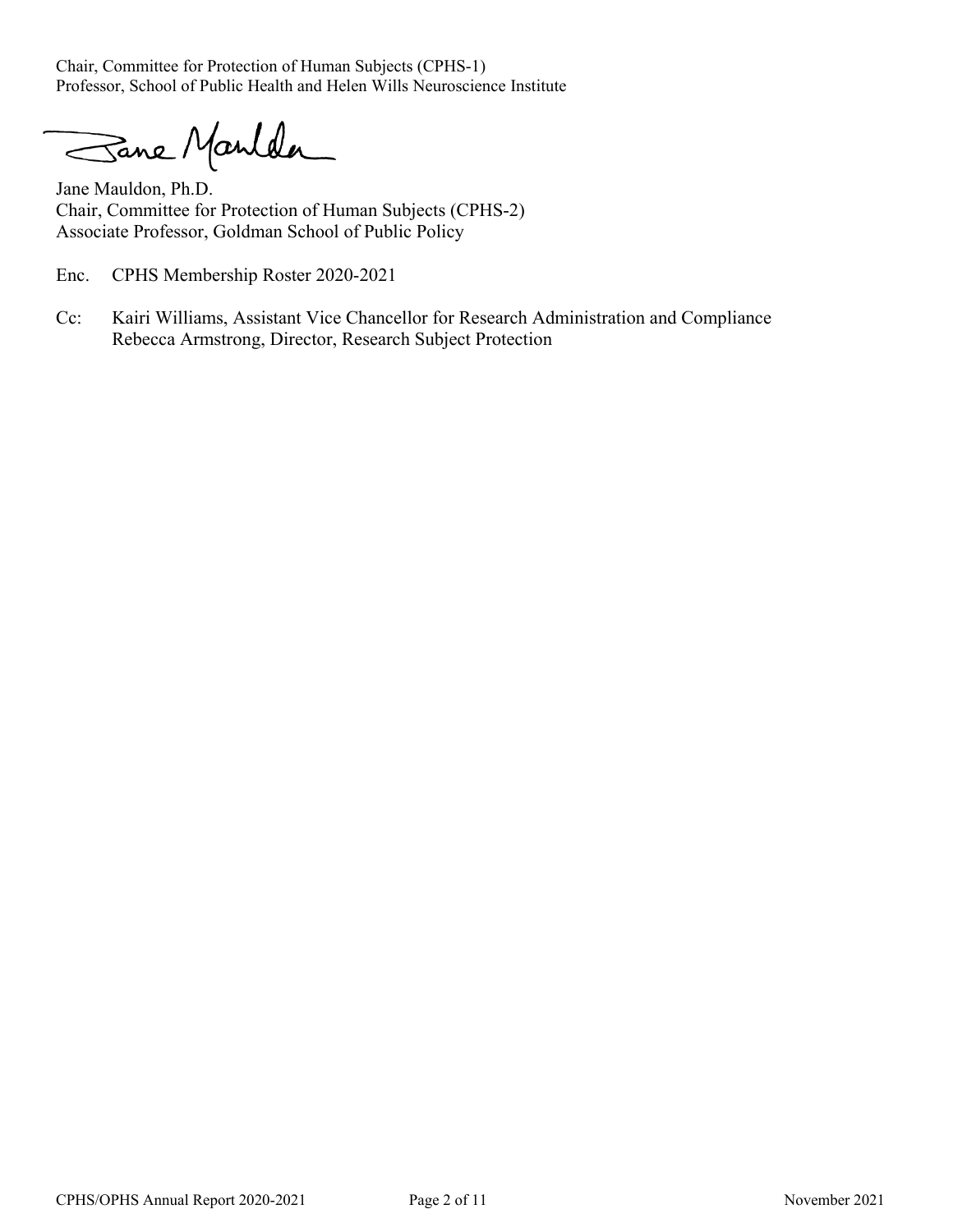Chair, Committee for Protection of Human Subjects (CPHS-1) Professor, School of Public Health and Helen Wills Neuroscience Institute

Sane Manlder

Jane Mauldon, Ph.D. Chair, Committee for Protection of Human Subjects (CPHS-2) Associate Professor, Goldman School of Public Policy

Enc. CPHS Membership Roster 2020-2021

Cc: Kairi Williams, Assistant Vice Chancellor for Research Administration and Compliance Rebecca Armstrong, Director, Research Subject Protection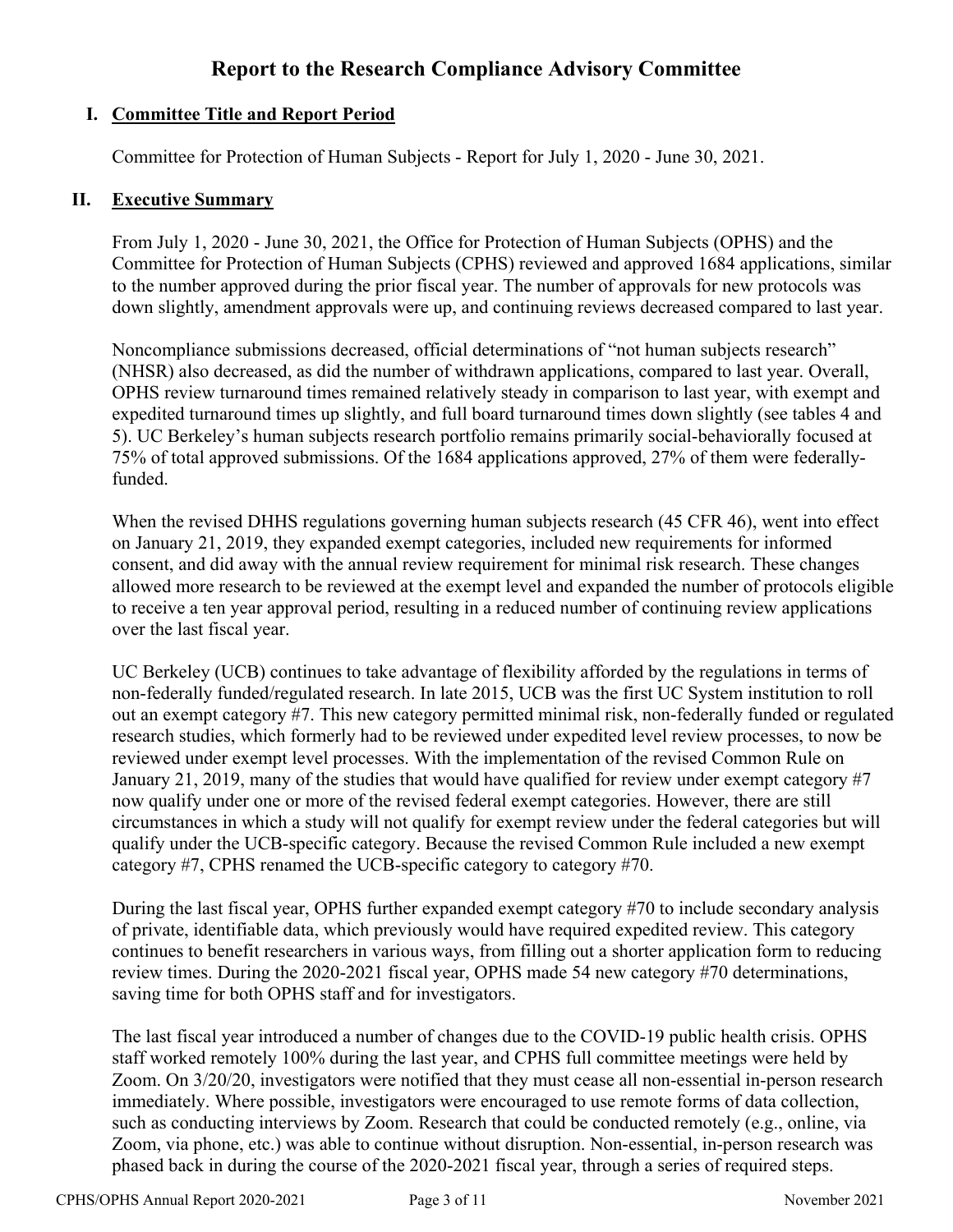# **Report to the Research Compliance Advisory Committee**

# **I. Committee Title and Report Period**

Committee for Protection of Human Subjects - Report for July 1, 2020 - June 30, 2021.

# **II. Executive Summary**

From July 1, 2020 - June 30, 2021, the Office for Protection of Human Subjects (OPHS) and the Committee for Protection of Human Subjects (CPHS) reviewed and approved 1684 applications, similar to the number approved during the prior fiscal year. The number of approvals for new protocols was down slightly, amendment approvals were up, and continuing reviews decreased compared to last year.

Noncompliance submissions decreased, official determinations of "not human subjects research" (NHSR) also decreased, as did the number of withdrawn applications, compared to last year. Overall, OPHS review turnaround times remained relatively steady in comparison to last year, with exempt and expedited turnaround times up slightly, and full board turnaround times down slightly (see tables 4 and 5). UC Berkeley's human subjects research portfolio remains primarily social-behaviorally focused at 75% of total approved submissions. Of the 1684 applications approved, 27% of them were federallyfunded.

When the revised DHHS regulations governing human subjects research (45 CFR 46), went into effect on January 21, 2019, they expanded exempt categories, included new requirements for informed consent, and did away with the annual review requirement for minimal risk research. These changes allowed more research to be reviewed at the exempt level and expanded the number of protocols eligible to receive a ten year approval period, resulting in a reduced number of continuing review applications over the last fiscal year.

UC Berkeley (UCB) continues to take advantage of flexibility afforded by the regulations in terms of non-federally funded/regulated research. In late 2015, UCB was the first UC System institution to roll out an exempt category #7. This new category permitted minimal risk, non-federally funded or regulated research studies, which formerly had to be reviewed under expedited level review processes, to now be reviewed under exempt level processes. With the implementation of the revised Common Rule on January 21, 2019, many of the studies that would have qualified for review under exempt category #7 now qualify under one or more of the revised federal exempt categories. However, there are still circumstances in which a study will not qualify for exempt review under the federal categories but will qualify under the UCB-specific category. Because the revised Common Rule included a new exempt category #7, CPHS renamed the UCB-specific category to category #70.

During the last fiscal year, OPHS further expanded exempt category #70 to include secondary analysis of private, identifiable data, which previously would have required expedited review. This category continues to benefit researchers in various ways, from filling out a shorter application form to reducing review times. During the 2020-2021 fiscal year, OPHS made 54 new category #70 determinations, saving time for both OPHS staff and for investigators.

The last fiscal year introduced a number of changes due to the COVID-19 public health crisis. OPHS staff worked remotely 100% during the last year, and CPHS full committee meetings were held by Zoom. On 3/20/20, investigators were notified that they must cease all non-essential in-person research immediately. Where possible, investigators were encouraged to use remote forms of data collection, such as conducting interviews by Zoom. Research that could be conducted remotely (e.g., online, via Zoom, via phone, etc.) was able to continue without disruption. Non-essential, in-person research was phased back in during the course of the 2020-2021 fiscal year, through a series of required steps.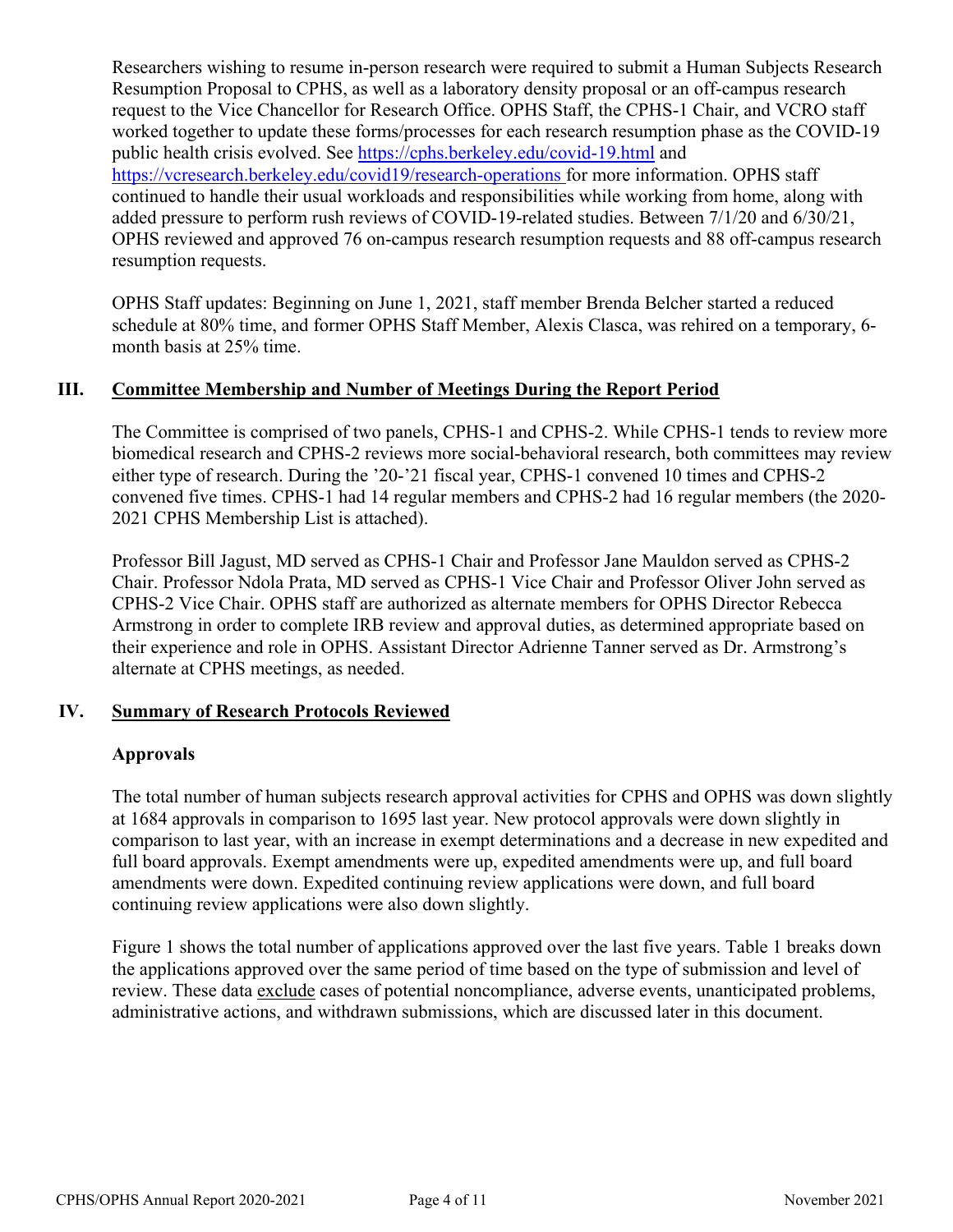Researchers wishing to resume in-person research were required to submit a Human Subjects Research Resumption Proposal to CPHS, as well as a laboratory density proposal or an off-campus research request to the Vice Chancellor for Research Office. OPHS Staff, the CPHS-1 Chair, and VCRO staff worked together to update these forms/processes for each research resumption phase as the COVID-19 public health crisis evolved. See<https://cphs.berkeley.edu/covid-19.html>and <https://vcresearch.berkeley.edu/covid19/research-operations> for more information. OPHS staff continued to handle their usual workloads and responsibilities while working from home, along with added pressure to perform rush reviews of COVID-19-related studies. Between 7/1/20 and 6/30/21, OPHS reviewed and approved 76 on-campus research resumption requests and 88 off-campus research resumption requests.

OPHS Staff updates: Beginning on June 1, 2021, staff member Brenda Belcher started a reduced schedule at 80% time, and former OPHS Staff Member, Alexis Clasca, was rehired on a temporary, 6 month basis at 25% time.

# **III. Committee Membership and Number of Meetings During the Report Period**

The Committee is comprised of two panels, CPHS-1 and CPHS-2. While CPHS-1 tends to review more biomedical research and CPHS-2 reviews more social-behavioral research, both committees may review either type of research. During the '20-'21 fiscal year, CPHS-1 convened 10 times and CPHS-2 convened five times. CPHS-1 had 14 regular members and CPHS-2 had 16 regular members (the 2020- 2021 CPHS Membership List is attached).

Professor Bill Jagust, MD served as CPHS-1 Chair and Professor Jane Mauldon served as CPHS-2 Chair. Professor Ndola Prata, MD served as CPHS-1 Vice Chair and Professor Oliver John served as CPHS-2 Vice Chair. OPHS staff are authorized as alternate members for OPHS Director Rebecca Armstrong in order to complete IRB review and approval duties, as determined appropriate based on their experience and role in OPHS. Assistant Director Adrienne Tanner served as Dr. Armstrong's alternate at CPHS meetings, as needed.

#### **IV. Summary of Research Protocols Reviewed**

#### **Approvals**

The total number of human subjects research approval activities for CPHS and OPHS was down slightly at 1684 approvals in comparison to 1695 last year. New protocol approvals were down slightly in comparison to last year, with an increase in exempt determinations and a decrease in new expedited and full board approvals. Exempt amendments were up, expedited amendments were up, and full board amendments were down. Expedited continuing review applications were down, and full board continuing review applications were also down slightly.

Figure 1 shows the total number of applications approved over the last five years. Table 1 breaks down the applications approved over the same period of time based on the type of submission and level of review. These data exclude cases of potential noncompliance, adverse events, unanticipated problems, administrative actions, and withdrawn submissions, which are discussed later in this document.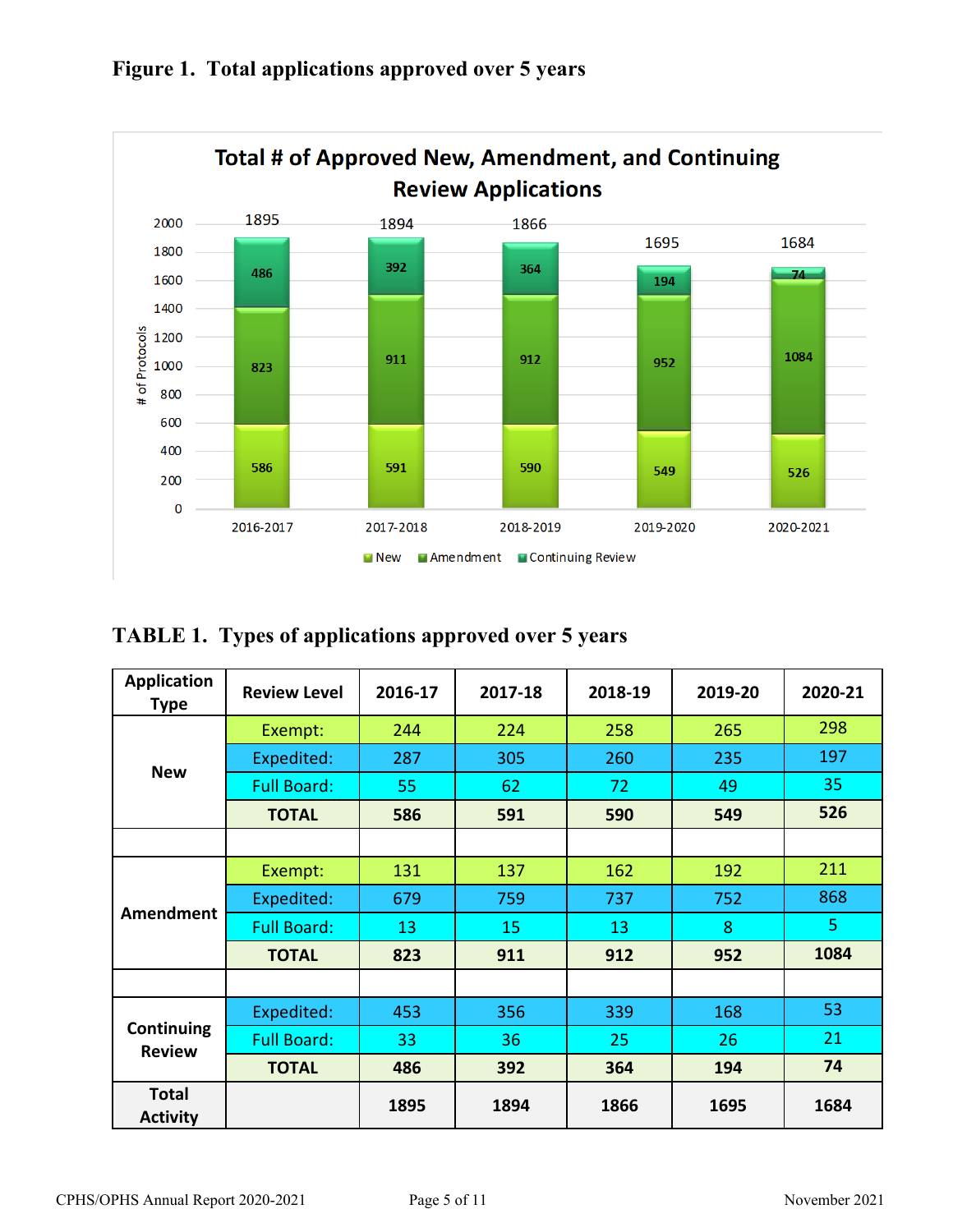

# **Figure 1. Total applications approved over 5 years**

**TABLE 1. Types of applications approved over 5 years**

| <b>Application</b><br><b>Type</b> | <b>Review Level</b> | 2016-17 | 2017-18 | 2018-19 | 2019-20 | 2020-21 |  |
|-----------------------------------|---------------------|---------|---------|---------|---------|---------|--|
|                                   | Exempt:             | 244     | 224     | 258     | 265     | 298     |  |
|                                   | Expedited:          | 287     | 305     | 260     | 235     | 197     |  |
| <b>New</b>                        | <b>Full Board:</b>  | 55      | 62      | 72      | 49      | 35      |  |
|                                   | <b>TOTAL</b>        | 586     | 591     | 590     | 549     | 526     |  |
|                                   |                     |         |         |         |         |         |  |
| <b>Amendment</b>                  | Exempt:             | 131     | 137     | 162     | 192     | 211     |  |
|                                   | Expedited:          | 679     | 759     | 737     | 752     | 868     |  |
|                                   | <b>Full Board:</b>  | 13      | 15      | 13      | 8       | 5       |  |
|                                   | <b>TOTAL</b>        | 823     | 911     | 912     | 952     | 1084    |  |
|                                   |                     |         |         |         |         |         |  |
|                                   | Expedited:          | 453     | 356     | 339     | 168     | 53      |  |
| Continuing<br><b>Review</b>       | <b>Full Board:</b>  | 33      | 36      | 25      | 26      | 21      |  |
|                                   | <b>TOTAL</b>        | 486     | 392     | 364     | 194     | 74      |  |
| <b>Total</b><br><b>Activity</b>   |                     | 1895    | 1894    | 1866    | 1695    | 1684    |  |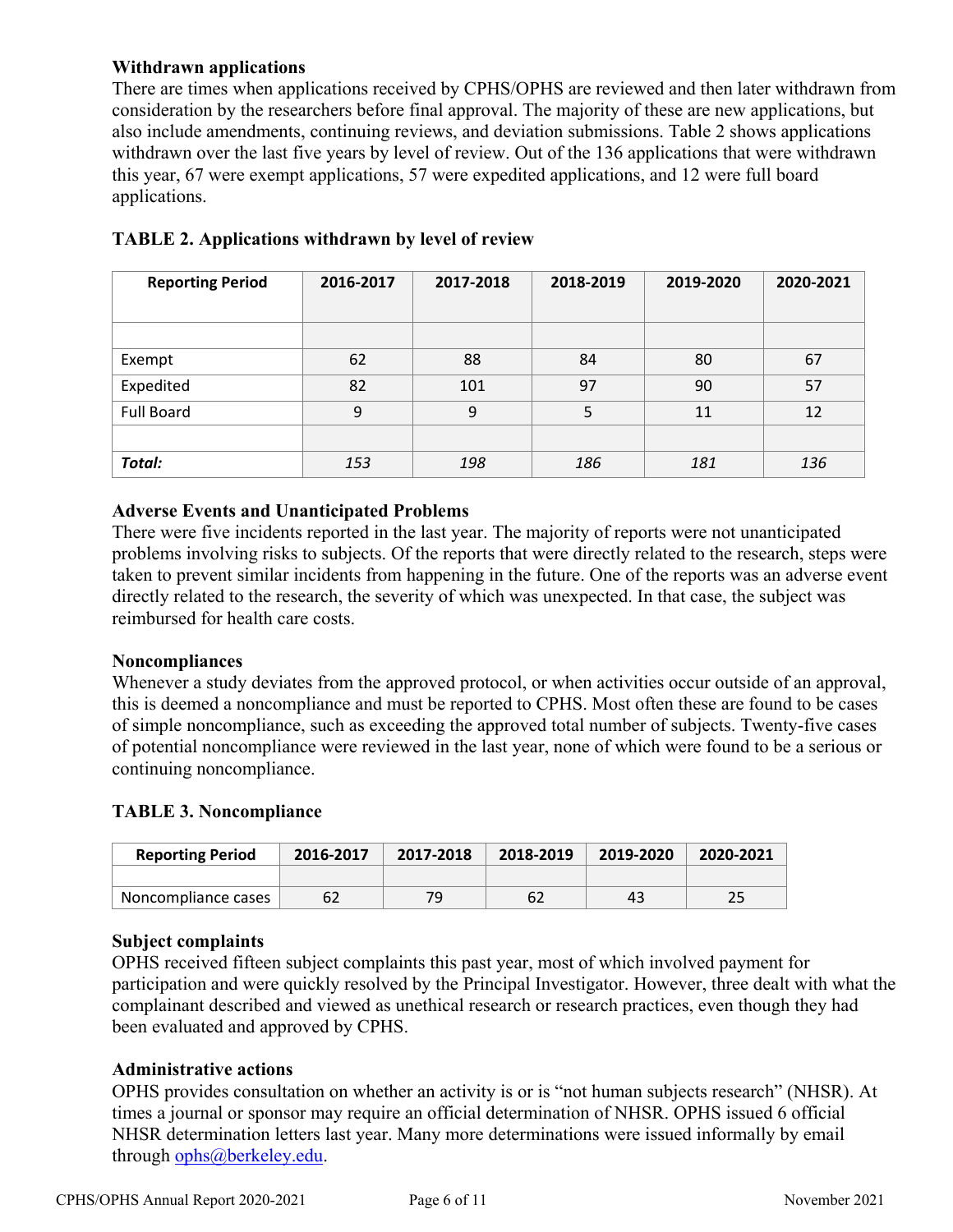### **Withdrawn applications**

There are times when applications received by CPHS/OPHS are reviewed and then later withdrawn from consideration by the researchers before final approval. The majority of these are new applications, but also include amendments, continuing reviews, and deviation submissions. Table 2 shows applications withdrawn over the last five years by level of review. Out of the 136 applications that were withdrawn this year, 67 were exempt applications, 57 were expedited applications, and 12 were full board applications.

| <b>Reporting Period</b> | 2016-2017 | 2017-2018 | 2018-2019 | 2019-2020 | 2020-2021 |
|-------------------------|-----------|-----------|-----------|-----------|-----------|
|                         |           |           |           |           |           |
|                         |           |           |           |           |           |
| Exempt                  | 62        | 88        | 84        | 80        | 67        |
| Expedited               | 82        | 101       | 97        | 90        | 57        |
| <b>Full Board</b>       | 9         | 9         | 5         | 11        | 12        |
|                         |           |           |           |           |           |
| Total:                  | 153       | 198       | 186       | 181       | 136       |

# **TABLE 2. Applications withdrawn by level of review**

#### **Adverse Events and Unanticipated Problems**

There were five incidents reported in the last year. The majority of reports were not unanticipated problems involving risks to subjects. Of the reports that were directly related to the research, steps were taken to prevent similar incidents from happening in the future. One of the reports was an adverse event directly related to the research, the severity of which was unexpected. In that case, the subject was reimbursed for health care costs.

#### **Noncompliances**

Whenever a study deviates from the approved protocol, or when activities occur outside of an approval, this is deemed a noncompliance and must be reported to CPHS. Most often these are found to be cases of simple noncompliance, such as exceeding the approved total number of subjects. Twenty-five cases of potential noncompliance were reviewed in the last year, none of which were found to be a serious or continuing noncompliance.

#### **TABLE 3. Noncompliance**

| <b>Reporting Period</b> | 2017-2018<br>2016-2017 |    | 2018-2019 | 2019-2020 | 2020-2021 |  |
|-------------------------|------------------------|----|-----------|-----------|-----------|--|
|                         |                        |    |           |           |           |  |
| Noncompliance cases     | 62                     | 79 |           | 43        | つに        |  |

# **Subject complaints**

OPHS received fifteen subject complaints this past year, most of which involved payment for participation and were quickly resolved by the Principal Investigator. However, three dealt with what the complainant described and viewed as unethical research or research practices, even though they had been evaluated and approved by CPHS.

#### **Administrative actions**

OPHS provides consultation on whether an activity is or is "not human subjects research" (NHSR). At times a journal or sponsor may require an official determination of NHSR. OPHS issued 6 official NHSR determination letters last year. Many more determinations were issued informally by email through [ophs@berkeley.edu.](mailto:ophs@berkeley.edu)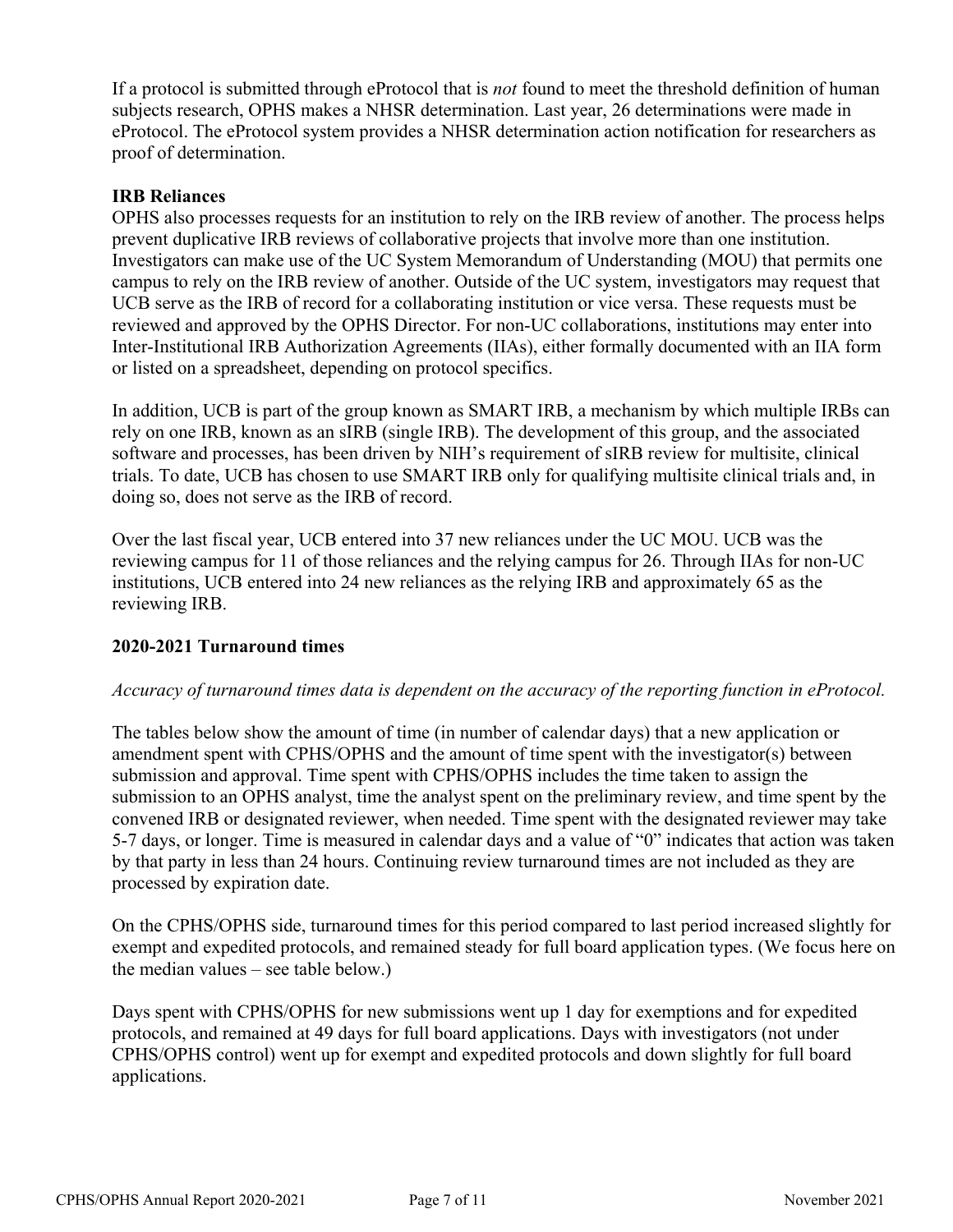If a protocol is submitted through eProtocol that is *not* found to meet the threshold definition of human subjects research, OPHS makes a NHSR determination. Last year, 26 determinations were made in eProtocol. The eProtocol system provides a NHSR determination action notification for researchers as proof of determination.

### **IRB Reliances**

OPHS also processes requests for an institution to rely on the IRB review of another. The process helps prevent duplicative IRB reviews of collaborative projects that involve more than one institution. Investigators can make use of the UC System Memorandum of Understanding (MOU) that permits one campus to rely on the IRB review of another. Outside of the UC system, investigators may request that UCB serve as the IRB of record for a collaborating institution or vice versa. These requests must be reviewed and approved by the OPHS Director. For non-UC collaborations, institutions may enter into Inter-Institutional IRB Authorization Agreements (IIAs), either formally documented with an IIA form or listed on a spreadsheet, depending on protocol specifics.

In addition, UCB is part of the group known as SMART IRB, a mechanism by which multiple IRBs can rely on one IRB, known as an sIRB (single IRB). The development of this group, and the associated software and processes, has been driven by NIH's requirement of sIRB review for multisite, clinical trials. To date, UCB has chosen to use SMART IRB only for qualifying multisite clinical trials and, in doing so, does not serve as the IRB of record.

Over the last fiscal year, UCB entered into 37 new reliances under the UC MOU. UCB was the reviewing campus for 11 of those reliances and the relying campus for 26. Through IIAs for non-UC institutions, UCB entered into 24 new reliances as the relying IRB and approximately 65 as the reviewing IRB.

#### **2020-2021 Turnaround times**

#### *Accuracy of turnaround times data is dependent on the accuracy of the reporting function in eProtocol.*

The tables below show the amount of time (in number of calendar days) that a new application or amendment spent with CPHS/OPHS and the amount of time spent with the investigator(s) between submission and approval. Time spent with CPHS/OPHS includes the time taken to assign the submission to an OPHS analyst, time the analyst spent on the preliminary review, and time spent by the convened IRB or designated reviewer, when needed. Time spent with the designated reviewer may take 5-7 days, or longer. Time is measured in calendar days and a value of "0" indicates that action was taken by that party in less than 24 hours. Continuing review turnaround times are not included as they are processed by expiration date.

On the CPHS/OPHS side, turnaround times for this period compared to last period increased slightly for exempt and expedited protocols, and remained steady for full board application types. (We focus here on the median values – see table below.)

Days spent with CPHS/OPHS for new submissions went up 1 day for exemptions and for expedited protocols, and remained at 49 days for full board applications. Days with investigators (not under CPHS/OPHS control) went up for exempt and expedited protocols and down slightly for full board applications.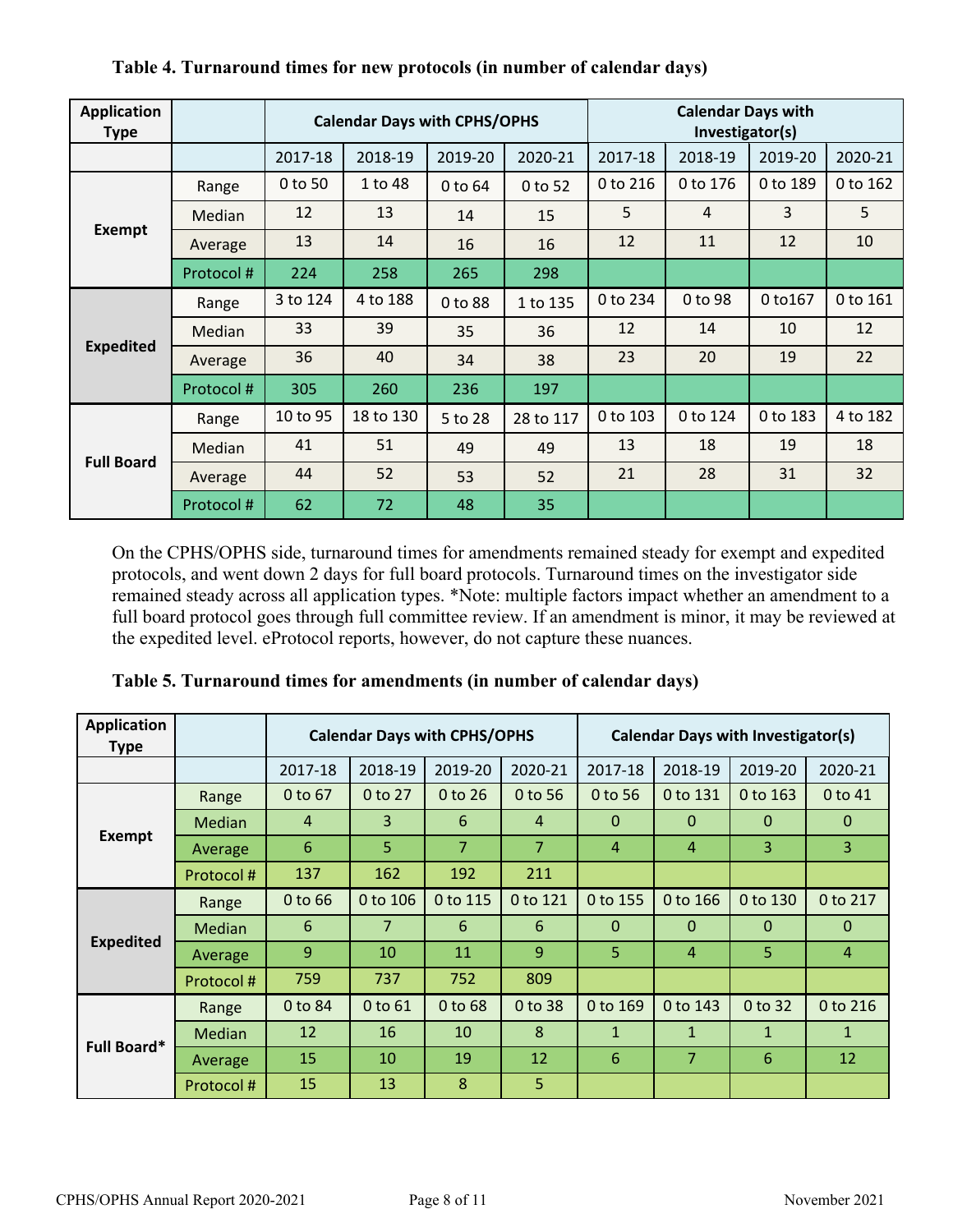| <b>Application</b><br><b>Type</b> |           | <b>Calendar Days with CPHS/OPHS</b> |           |         |           | <b>Calendar Days with</b><br>Investigator(s) |          |          |          |
|-----------------------------------|-----------|-------------------------------------|-----------|---------|-----------|----------------------------------------------|----------|----------|----------|
|                                   |           | 2017-18                             | 2018-19   | 2019-20 | 2020-21   | 2017-18                                      | 2018-19  | 2019-20  | 2020-21  |
|                                   | Range     | 0 to 50                             | 1 to 48   | 0 to 64 | 0 to 52   | 0 to 216                                     | 0 to 176 | 0 to 189 | 0 to 162 |
|                                   | Median    | 12                                  | 13        | 14      | 15        | 5                                            | 4        | 3        | 5        |
| <b>Exempt</b>                     | Average   | 13                                  | 14        | 16      | 16        | 12                                           | 11       | 12       | 10       |
|                                   | Protocol# | 224                                 | 258       | 265     | 298       |                                              |          |          |          |
|                                   | Range     | 3 to 124                            | 4 to 188  | 0 to 88 | 1 to 135  | 0 to 234                                     | 0 to 98  | 0 to 167 | 0 to 161 |
|                                   | Median    | 33                                  | 39        | 35      | 36        | 12                                           | 14       | 10       | 12       |
| <b>Expedited</b>                  | Average   | 36                                  | 40        | 34      | 38        | 23                                           | 20       | 19       | 22       |
|                                   | Protocol# | 305                                 | 260       | 236     | 197       |                                              |          |          |          |
|                                   | Range     | 10 to 95                            | 18 to 130 | 5 to 28 | 28 to 117 | 0 to 103                                     | 0 to 124 | 0 to 183 | 4 to 182 |
| <b>Full Board</b>                 | Median    | 41                                  | 51        | 49      | 49        | 13                                           | 18       | 19       | 18       |
|                                   | Average   | 44                                  | 52        | 53      | 52        | 21                                           | 28       | 31       | 32       |
|                                   | Protocol# | 62                                  | 72        | 48      | 35        |                                              |          |          |          |

# **Table 4. Turnaround times for new protocols (in number of calendar days)**

On the CPHS/OPHS side, turnaround times for amendments remained steady for exempt and expedited protocols, and went down 2 days for full board protocols. Turnaround times on the investigator side remained steady across all application types. \*Note: multiple factors impact whether an amendment to a full board protocol goes through full committee review. If an amendment is minor, it may be reviewed at the expedited level. eProtocol reports, however, do not capture these nuances.

| <b>Application</b><br><b>Type</b> |               | <b>Calendar Days with CPHS/OPHS</b> |                |                |                | <b>Calendar Days with Investigator(s)</b> |                |          |                |
|-----------------------------------|---------------|-------------------------------------|----------------|----------------|----------------|-------------------------------------------|----------------|----------|----------------|
|                                   |               | 2017-18                             | 2018-19        | 2019-20        | 2020-21        | 2017-18                                   | 2018-19        | 2019-20  | 2020-21        |
|                                   | Range         | 0 to 67                             | 0 to 27        | 0 to 26        | 0 to 56        | 0 to 56                                   | 0 to 131       | 0 to 163 | 0 to 41        |
|                                   | <b>Median</b> | $\overline{4}$                      | 3              | 6              | $\overline{4}$ | $\Omega$                                  | $\Omega$       | $\Omega$ | $\mathbf{0}$   |
| <b>Exempt</b>                     | Average       | 6                                   | 5.             | $\overline{7}$ | $\overline{7}$ | $\overline{4}$                            | $\overline{4}$ | 3        | 3              |
|                                   | Protocol#     | 137                                 | 162            | 192            | 211            |                                           |                |          |                |
|                                   | Range         | $0$ to 66                           | 0 to 106       | 0 to 115       | 0 to 121       | 0 to 155                                  | 0 to 166       | 0 to 130 | 0 to 217       |
|                                   | <b>Median</b> | 6                                   | $\overline{7}$ | 6              | 6              | $\mathbf{0}$                              | $\Omega$       | $\Omega$ | $\Omega$       |
| <b>Expedited</b>                  | Average       | 9                                   | 10             | 11             | 9              | 5                                         | $\overline{4}$ | 5        | $\overline{4}$ |
|                                   | Protocol#     | 759                                 | 737            | 752            | 809            |                                           |                |          |                |
|                                   | Range         | 0 to 84                             | 0 to 61        | 0 to 68        | 0 to 38        | 0 to 169                                  | 0 to 143       | 0 to 32  | 0 to 216       |
| Full Board*                       | <b>Median</b> | 12                                  | 16             | 10             | 8              | $\mathbf{1}$                              | $\mathbf{1}$   | 1        | $\mathbf{1}$   |
|                                   | Average       | 15                                  | 10             | 19             | 12             | 6                                         | $\overline{7}$ | 6        | 12             |
|                                   | Protocol#     | 15                                  | 13             | 8              | 5              |                                           |                |          |                |

**Table 5. Turnaround times for amendments (in number of calendar days)**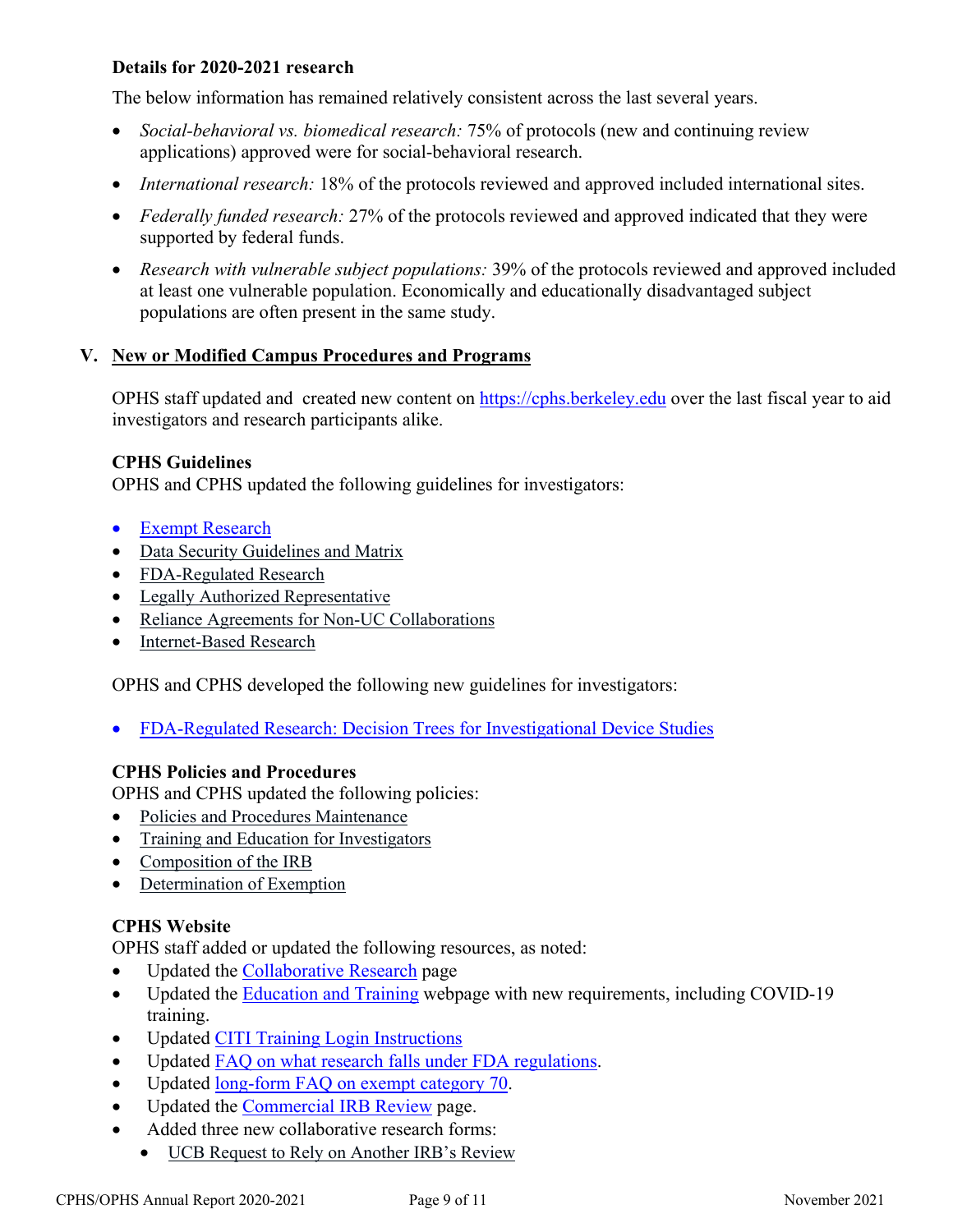## **Details for 2020-2021 research**

The below information has remained relatively consistent across the last several years.

- *Social-behavioral vs. biomedical research:* 75% of protocols (new and continuing review applications) approved were for social-behavioral research.
- *International research:* 18% of the protocols reviewed and approved included international sites.
- *Federally funded research:* 27% of the protocols reviewed and approved indicated that they were supported by federal funds.
- *Research with vulnerable subject populations:* 39% of the protocols reviewed and approved included at least one vulnerable population. Economically and educationally disadvantaged subject populations are often present in the same study.

# **V. New or Modified Campus Procedures and Programs**

OPHS staff updated and created new content on [https://cphs.berkeley.edu](https://cphs.berkeley.edu/) over the last fiscal year to aid investigators and research participants alike.

#### **CPHS Guidelines**

OPHS and CPHS updated the following guidelines for investigators:

- [Exempt Research](https://cphs.berkeley.edu/exempt.pdf)
- [Data Security Guidelines and Matrix](https://cphs.berkeley.edu/datasecurity.pdf)
- [FDA-Regulated Research](https://cphs.berkeley.edu/drugs_medicaldevices.pdf)
- [Legally Authorized Representative](https://cphs.berkeley.edu/lar.pdf)
- [Reliance Agreements for Non-UC Collaborations](https://cphs.berkeley.edu/reliance_agreements.pdf)
- [Internet-Based Research](https://cphs.berkeley.edu/internet_research.pdf)

OPHS and CPHS developed the following new guidelines for investigators:

• [FDA-Regulated Research: Decision Trees for Investigational Device Studies](https://cphs.berkeley.edu/fda_decisiontree.pdf)

#### **CPHS Policies and Procedures**

OPHS and CPHS updated the following policies:

- [Policies and Procedures Maintenance](https://cphs.berkeley.edu/policies_procedures/ga101.pdf)
- [Training and Education for Investigators](https://cphs.berkeley.edu/policies_procedures/ga102b.pdf)
- [Composition of the IRB](https://cphs.berkeley.edu/policies_procedures/or201.pdf)
- [Determination of Exemption](https://cphs.berkeley.edu/policies_procedures/2019/fo302.pdf)

### **CPHS Website**

OPHS staff added or updated the following resources, as noted:

- Updated the [Collaborative Research](https://cphs.berkeley.edu/mou.html) page
- Updated the [Education and Training](https://cphs.berkeley.edu/training.html) webpage with new requirements, including COVID-19 training.
- Updated [CITI Training Login Instructions](https://cphs.berkeley.edu/quickguideCITItraining.pdf)
- Updated [FAQ on what research falls under FDA regulations.](https://cphs.berkeley.edu/faqs.html#gen3)
- Updated [long-form FAQ on exempt category 70.](https://cphs.berkeley.edu/guide/exemptcategory70.html)
- Updated the [Commercial IRB Review](https://cphs.berkeley.edu/commercialirb.html) page.
- Added three new collaborative research forms:
	- [UCB Request to Rely on Another IRB's Review](https://cphs.berkeley.edu/request_rely.docx)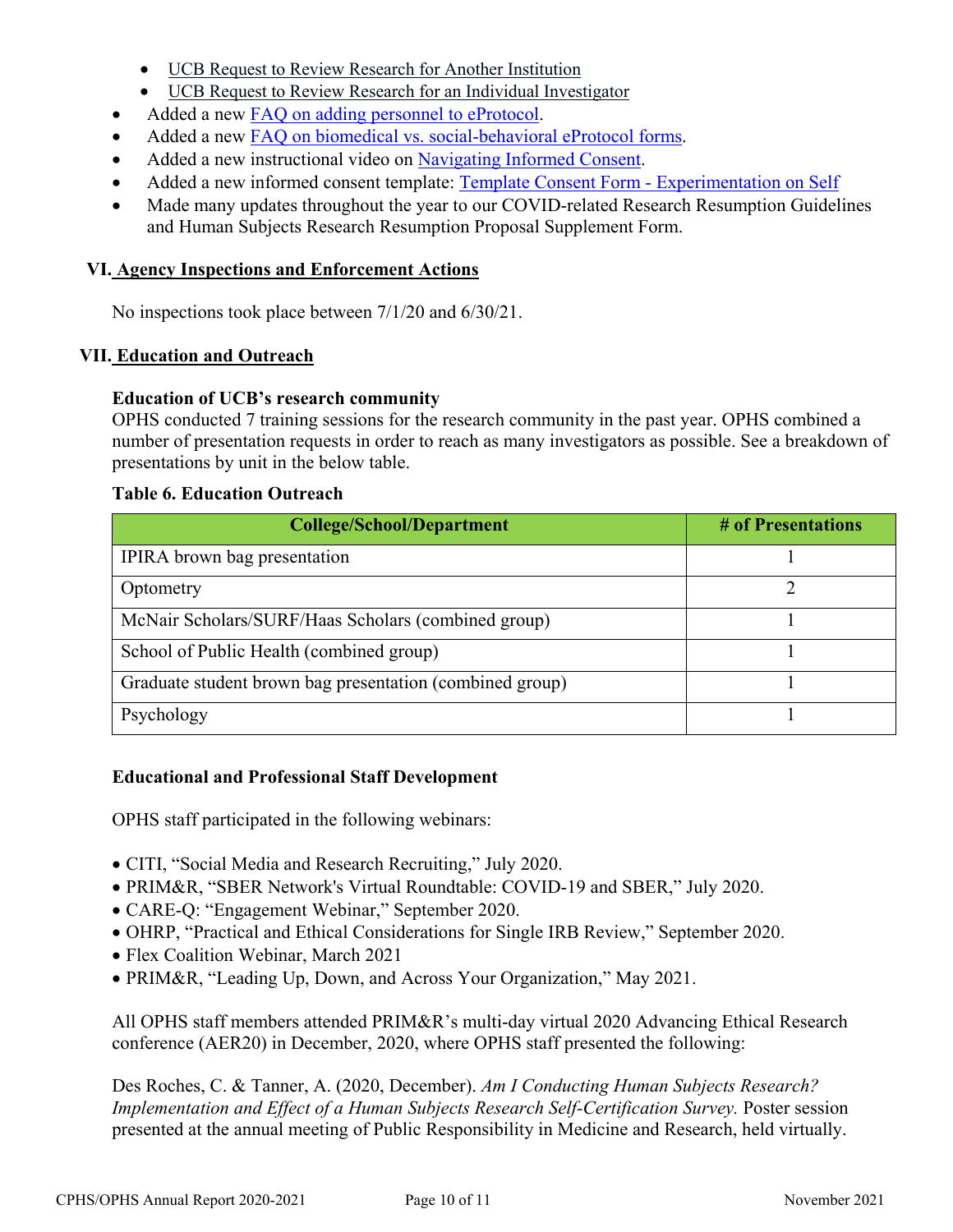- [UCB Request to Review Research for Another Institution](https://cphs.berkeley.edu/request_review_institution.docx)
- [UCB Request to Review Research for an Individual Investigator](https://cphs.berkeley.edu/request_review_individual.docx)
- Added a new [FAQ on adding personnel to eProtocol.](https://cphs.berkeley.edu/eprotocol_faqs.html#6)
- Added a new [FAQ on biomedical vs. social-behavioral eProtocol forms.](https://cphs.berkeley.edu/faqs.html#protocol11)
- Added a new instructional video on [Navigating Informed Consent.](https://drive.google.com/file/d/1MR2JnGLhH2iqrLLB2-mydwqR0CZf1hGI/view?usp=sharing)
- Added a new informed consent template: [Template Consent Form Experimentation on Self](https://cphs.berkeley.edu/CF-Template_Self.docx)
- Made many updates throughout the year to our COVID-related Research Resumption Guidelines and Human Subjects Research Resumption Proposal Supplement Form.

### **VI. Agency Inspections and Enforcement Actions**

No inspections took place between 7/1/20 and 6/30/21.

### **VII. Education and Outreach**

#### **Education of UCB's research community**

OPHS conducted 7 training sessions for the research community in the past year. OPHS combined a number of presentation requests in order to reach as many investigators as possible. See a breakdown of presentations by unit in the below table.

### **Table 6. Education Outreach**

| <b>College/School/Department</b>                         | # of Presentations |
|----------------------------------------------------------|--------------------|
| IPIRA brown bag presentation                             |                    |
| Optometry                                                |                    |
| McNair Scholars/SURF/Haas Scholars (combined group)      |                    |
| School of Public Health (combined group)                 |                    |
| Graduate student brown bag presentation (combined group) |                    |
| Psychology                                               |                    |

#### **Educational and Professional Staff Development**

OPHS staff participated in the following webinars:

- CITI, "Social Media and Research Recruiting," July 2020.
- PRIM&R, "SBER Network's Virtual Roundtable: COVID-19 and SBER," July 2020.
- CARE-Q: "Engagement Webinar," September 2020.
- OHRP, "Practical and Ethical Considerations for Single IRB Review," September 2020.
- Flex Coalition Webinar, March 2021
- PRIM&R, "Leading Up, Down, and Across Your Organization," May 2021.

All OPHS staff members attended PRIM&R's multi-day virtual 2020 Advancing Ethical Research conference (AER20) in December, 2020, where OPHS staff presented the following:

Des Roches, C. & Tanner, A. (2020, December). *Am I Conducting Human Subjects Research? Implementation and Effect of a Human Subjects Research Self-Certification Survey.* Poster session presented at the annual meeting of Public Responsibility in Medicine and Research, held virtually.